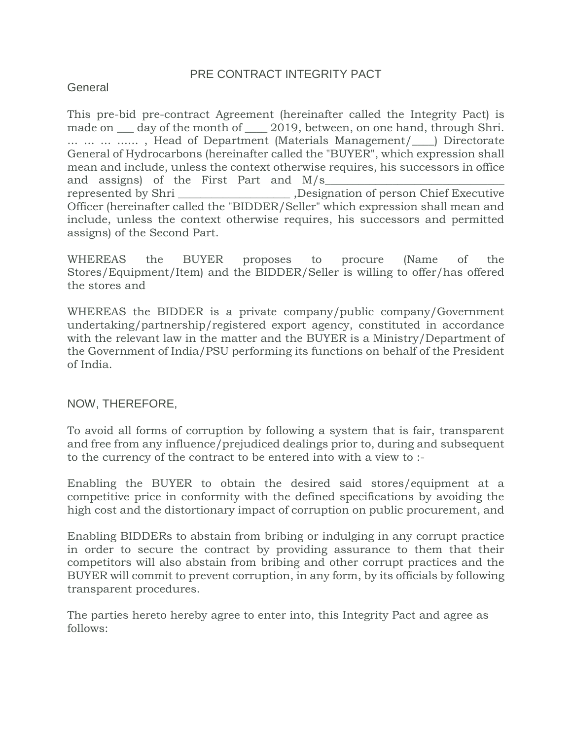#### PRE CONTRACT INTEGRITY PACT

#### **General**

This pre-bid pre-contract Agreement (hereinafter called the Integrity Pact) is made on  $\_\_$  day of the month of  $\_\_$  2019, between, on one hand, through Shri. ... ... ... ......, Head of Department (Materials Management/
ightcorright General of Hydrocarbons (hereinafter called the "BUYER", which expression shall mean and include, unless the context otherwise requires, his successors in office and assigns) of the First Part and  $M/s$ represented by Shri \_\_\_\_\_\_\_\_\_\_\_\_\_\_\_\_\_\_\_\_ ,Designation of person Chief Executive Officer (hereinafter called the "BIDDER/Seller" which expression shall mean and include, unless the context otherwise requires, his successors and permitted assigns) of the Second Part.

WHEREAS the BUYER proposes to procure (Name of the Stores/Equipment/Item) and the BIDDER/Seller is willing to offer/has offered the stores and

WHEREAS the BIDDER is a private company/public company/Government undertaking/partnership/registered export agency, constituted in accordance with the relevant law in the matter and the BUYER is a Ministry/Department of the Government of India/PSU performing its functions on behalf of the President of India.

#### NOW, THEREFORE,

To avoid all forms of corruption by following a system that is fair, transparent and free from any influence/prejudiced dealings prior to, during and subsequent to the currency of the contract to be entered into with a view to :-

Enabling the BUYER to obtain the desired said stores/equipment at a competitive price in conformity with the defined specifications by avoiding the high cost and the distortionary impact of corruption on public procurement, and

Enabling BIDDERs to abstain from bribing or indulging in any corrupt practice in order to secure the contract by providing assurance to them that their competitors will also abstain from bribing and other corrupt practices and the BUYER will commit to prevent corruption, in any form, by its officials by following transparent procedures.

The parties hereto hereby agree to enter into, this Integrity Pact and agree as follows: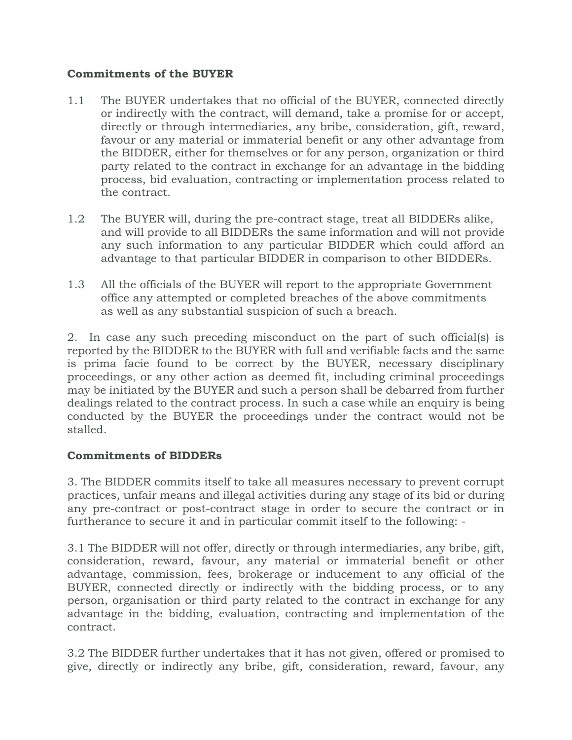#### **Commitments of the BUYER**

- 1.1 The BUYER undertakes that no official of the BUYER, connected directly or indirectly with the contract, will demand, take a promise for or accept, directly or through intermediaries, any bribe, consideration, gift, reward, favour or any material or immaterial benefit or any other advantage from the BIDDER, either for themselves or for any person, organization or third party related to the contract in exchange for an advantage in the bidding process, bid evaluation, contracting or implementation process related to the contract.
- 1.2 The BUYER will, during the pre-contract stage, treat all BIDDERs alike, and will provide to all BIDDERs the same information and will not provide any such information to any particular BIDDER which could afford an advantage to that particular BIDDER in comparison to other BIDDERs.
- 1.3 All the officials of the BUYER will report to the appropriate Government office any attempted or completed breaches of the above commitments as well as any substantial suspicion of such a breach.

2. In case any such preceding misconduct on the part of such official(s) is reported by the BIDDER to the BUYER with full and verifiable facts and the same is prima facie found to be correct by the BUYER, necessary disciplinary proceedings, or any other action as deemed fit, including criminal proceedings may be initiated by the BUYER and such a person shall be debarred from further dealings related to the contract process. In such a case while an enquiry is being conducted by the BUYER the proceedings under the contract would not be stalled.

#### **Commitments of BIDDERs**

3. The BIDDER commits itself to take all measures necessary to prevent corrupt practices, unfair means and illegal activities during any stage of its bid or during any pre-contract or post-contract stage in order to secure the contract or in furtherance to secure it and in particular commit itself to the following: -

3.1 The BIDDER will not offer, directly or through intermediaries, any bribe, gift, consideration, reward, favour, any material or immaterial benefit or other advantage, commission, fees, brokerage or inducement to any official of the BUYER, connected directly or indirectly with the bidding process, or to any person, organisation or third party related to the contract in exchange for any advantage in the bidding, evaluation, contracting and implementation of the contract.

3.2 The BIDDER further undertakes that it has not given, offered or promised to give, directly or indirectly any bribe, gift, consideration, reward, favour, any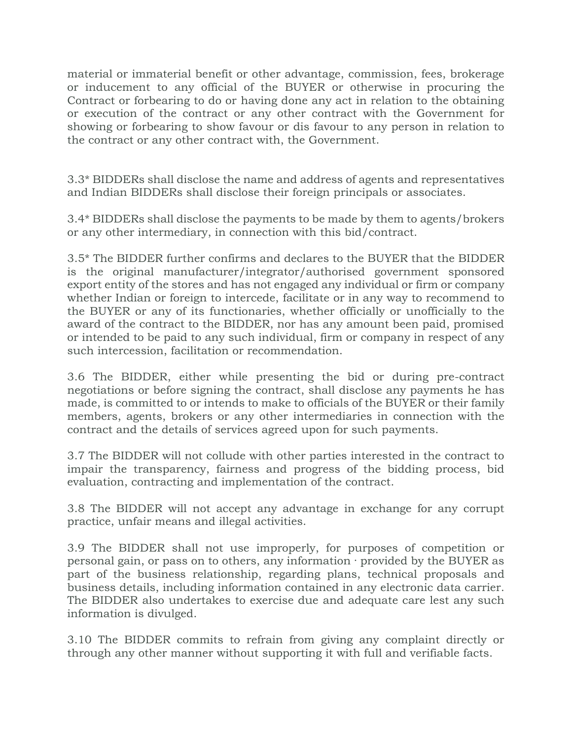material or immaterial benefit or other advantage, commission, fees, brokerage or inducement to any official of the BUYER or otherwise in procuring the Contract or forbearing to do or having done any act in relation to the obtaining or execution of the contract or any other contract with the Government for showing or forbearing to show favour or dis favour to any person in relation to the contract or any other contract with, the Government.

3.3\* BIDDERs shall disclose the name and address of agents and representatives and Indian BIDDERs shall disclose their foreign principals or associates.

3.4\* BIDDERs shall disclose the payments to be made by them to agents/brokers or any other intermediary, in connection with this bid/contract.

3.5\* The BIDDER further confirms and declares to the BUYER that the BIDDER is the original manufacturer/integrator/authorised government sponsored export entity of the stores and has not engaged any individual or firm or company whether Indian or foreign to intercede, facilitate or in any way to recommend to the BUYER or any of its functionaries, whether officially or unofficially to the award of the contract to the BIDDER, nor has any amount been paid, promised or intended to be paid to any such individual, firm or company in respect of any such intercession, facilitation or recommendation.

3.6 The BIDDER, either while presenting the bid or during pre-contract negotiations or before signing the contract, shall disclose any payments he has made, is committed to or intends to make to officials of the BUYER or their family members, agents, brokers or any other intermediaries in connection with the contract and the details of services agreed upon for such payments.

3.7 The BIDDER will not collude with other parties interested in the contract to impair the transparency, fairness and progress of the bidding process, bid evaluation, contracting and implementation of the contract.

3.8 The BIDDER will not accept any advantage in exchange for any corrupt practice, unfair means and illegal activities.

3.9 The BIDDER shall not use improperly, for purposes of competition or personal gain, or pass on to others, any information · provided by the BUYER as part of the business relationship, regarding plans, technical proposals and business details, including information contained in any electronic data carrier. The BIDDER also undertakes to exercise due and adequate care lest any such information is divulged.

3.10 The BIDDER commits to refrain from giving any complaint directly or through any other manner without supporting it with full and verifiable facts.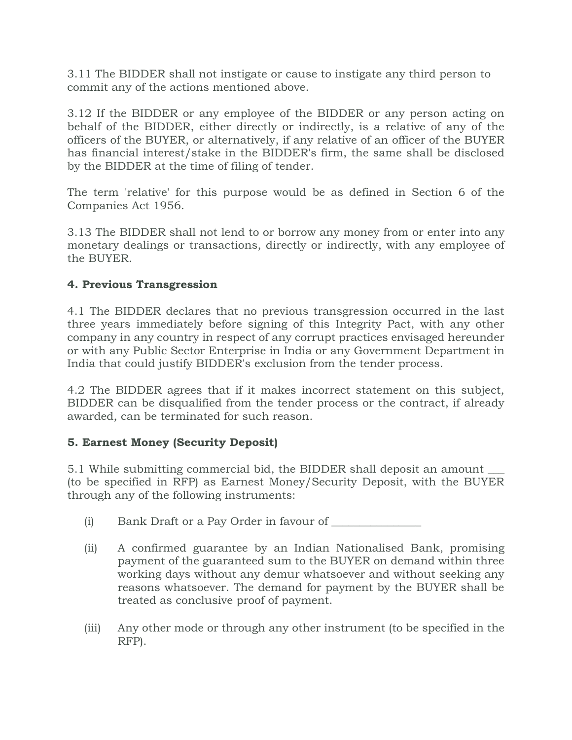3.11 The BIDDER shall not instigate or cause to instigate any third person to commit any of the actions mentioned above.

3.12 If the BIDDER or any employee of the BIDDER or any person acting on behalf of the BIDDER, either directly or indirectly, is a relative of any of the officers of the BUYER, or alternatively, if any relative of an officer of the BUYER has financial interest/stake in the BIDDER's firm, the same shall be disclosed by the BIDDER at the time of filing of tender.

The term 'relative' for this purpose would be as defined in Section 6 of the Companies Act 1956.

3.13 The BIDDER shall not lend to or borrow any money from or enter into any monetary dealings or transactions, directly or indirectly, with any employee of the BUYER.

### **4. Previous Transgression**

4.1 The BIDDER declares that no previous transgression occurred in the last three years immediately before signing of this Integrity Pact, with any other company in any country in respect of any corrupt practices envisaged hereunder or with any Public Sector Enterprise in India or any Government Department in India that could justify BIDDER's exclusion from the tender process.

4.2 The BIDDER agrees that if it makes incorrect statement on this subject, BIDDER can be disqualified from the tender process or the contract, if already awarded, can be terminated for such reason.

# **5. Earnest Money (Security Deposit)**

5.1 While submitting commercial bid, the BIDDER shall deposit an amount \_\_\_ (to be specified in RFP) as Earnest Money/Security Deposit, with the BUYER through any of the following instruments:

- (i) Bank Draft or a Pay Order in favour of \_\_\_\_\_\_\_\_\_\_\_\_\_\_\_\_
- (ii) A confirmed guarantee by an Indian Nationalised Bank, promising payment of the guaranteed sum to the BUYER on demand within three working days without any demur whatsoever and without seeking any reasons whatsoever. The demand for payment by the BUYER shall be treated as conclusive proof of payment.
- (iii) Any other mode or through any other instrument (to be specified in the RFP).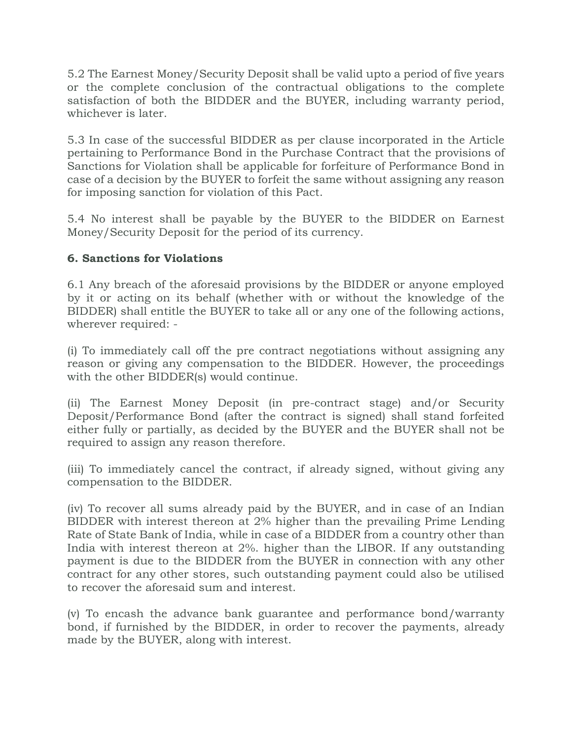5.2 The Earnest Money/Security Deposit shall be valid upto a period of five years or the complete conclusion of the contractual obligations to the complete satisfaction of both the BIDDER and the BUYER, including warranty period, whichever is later.

5.3 In case of the successful BIDDER as per clause incorporated in the Article pertaining to Performance Bond in the Purchase Contract that the provisions of Sanctions for Violation shall be applicable for forfeiture of Performance Bond in case of a decision by the BUYER to forfeit the same without assigning any reason for imposing sanction for violation of this Pact.

5.4 No interest shall be payable by the BUYER to the BIDDER on Earnest Money/Security Deposit for the period of its currency.

#### **6. Sanctions for Violations**

6.1 Any breach of the aforesaid provisions by the BIDDER or anyone employed by it or acting on its behalf (whether with or without the knowledge of the BIDDER) shall entitle the BUYER to take all or any one of the following actions, wherever required: -

(i) To immediately call off the pre contract negotiations without assigning any reason or giving any compensation to the BIDDER. However, the proceedings with the other BIDDER(s) would continue.

(ii) The Earnest Money Deposit (in pre-contract stage) and/or Security Deposit/Performance Bond (after the contract is signed) shall stand forfeited either fully or partially, as decided by the BUYER and the BUYER shall not be required to assign any reason therefore.

(iii) To immediately cancel the contract, if already signed, without giving any compensation to the BIDDER.

(iv) To recover all sums already paid by the BUYER, and in case of an Indian BIDDER with interest thereon at 2% higher than the prevailing Prime Lending Rate of State Bank of India, while in case of a BIDDER from a country other than India with interest thereon at 2%. higher than the LIBOR. If any outstanding payment is due to the BIDDER from the BUYER in connection with any other contract for any other stores, such outstanding payment could also be utilised to recover the aforesaid sum and interest.

(v) To encash the advance bank guarantee and performance bond/warranty bond, if furnished by the BIDDER, in order to recover the payments, already made by the BUYER, along with interest.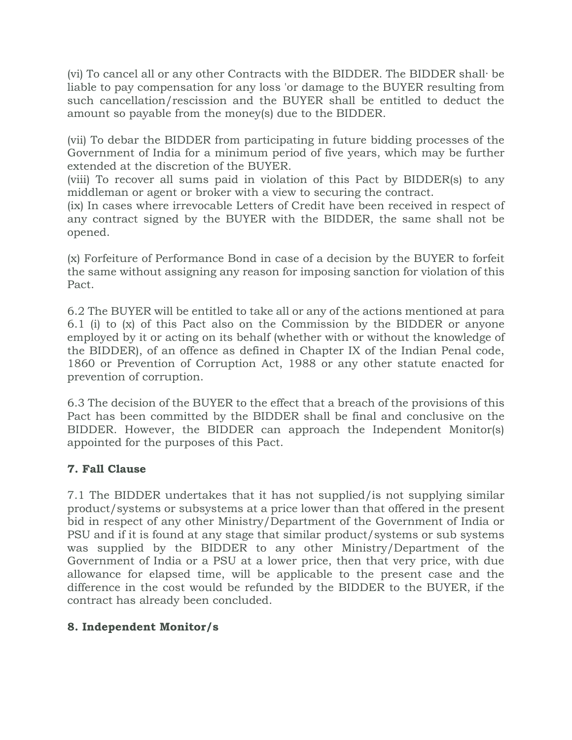(vi) To cancel all or any other Contracts with the BIDDER. The BIDDER shall· be liable to pay compensation for any loss 'or damage to the BUYER resulting from such cancellation/rescission and the BUYER shall be entitled to deduct the amount so payable from the money(s) due to the BIDDER.

(vii) To debar the BIDDER from participating in future bidding processes of the Government of India for a minimum period of five years, which may be further extended at the discretion of the BUYER.

(viii) To recover all sums paid in violation of this Pact by BIDDER(s) to any middleman or agent or broker with a view to securing the contract.

(ix) In cases where irrevocable Letters of Credit have been received in respect of any contract signed by the BUYER with the BIDDER, the same shall not be opened.

(x) Forfeiture of Performance Bond in case of a decision by the BUYER to forfeit the same without assigning any reason for imposing sanction for violation of this Pact.

6.2 The BUYER will be entitled to take all or any of the actions mentioned at para 6.1 (i) to (x) of this Pact also on the Commission by the BIDDER or anyone employed by it or acting on its behalf (whether with or without the knowledge of the BIDDER), of an offence as defined in Chapter IX of the Indian Penal code, 1860 or Prevention of Corruption Act, 1988 or any other statute enacted for prevention of corruption.

6.3 The decision of the BUYER to the effect that a breach of the provisions of this Pact has been committed by the BIDDER shall be final and conclusive on the BIDDER. However, the BIDDER can approach the Independent Monitor(s) appointed for the purposes of this Pact.

# **7. Fall Clause**

7.1 The BIDDER undertakes that it has not supplied/is not supplying similar product/systems or subsystems at a price lower than that offered in the present bid in respect of any other Ministry/Department of the Government of India or PSU and if it is found at any stage that similar product/systems or sub systems was supplied by the BIDDER to any other Ministry/Department of the Government of India or a PSU at a lower price, then that very price, with due allowance for elapsed time, will be applicable to the present case and the difference in the cost would be refunded by the BIDDER to the BUYER, if the contract has already been concluded.

# **8. Independent Monitor/s**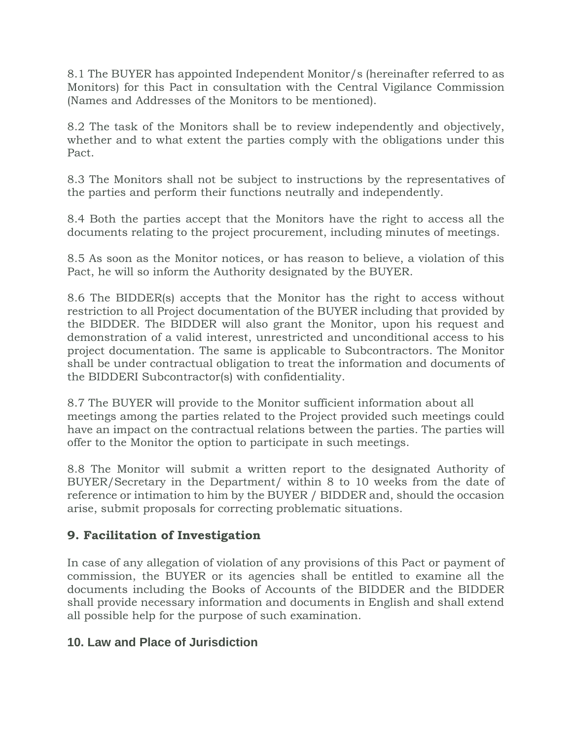8.1 The BUYER has appointed Independent Monitor/s (hereinafter referred to as Monitors) for this Pact in consultation with the Central Vigilance Commission (Names and Addresses of the Monitors to be mentioned).

8.2 The task of the Monitors shall be to review independently and objectively, whether and to what extent the parties comply with the obligations under this Pact.

8.3 The Monitors shall not be subject to instructions by the representatives of the parties and perform their functions neutrally and independently.

8.4 Both the parties accept that the Monitors have the right to access all the documents relating to the project procurement, including minutes of meetings.

8.5 As soon as the Monitor notices, or has reason to believe, a violation of this Pact, he will so inform the Authority designated by the BUYER.

8.6 The BIDDER(s) accepts that the Monitor has the right to access without restriction to all Project documentation of the BUYER including that provided by the BIDDER. The BIDDER will also grant the Monitor, upon his request and demonstration of a valid interest, unrestricted and unconditional access to his project documentation. The same is applicable to Subcontractors. The Monitor shall be under contractual obligation to treat the information and documents of the BIDDERI Subcontractor(s) with confidentiality.

8.7 The BUYER will provide to the Monitor sufficient information about all meetings among the parties related to the Project provided such meetings could have an impact on the contractual relations between the parties. The parties will offer to the Monitor the option to participate in such meetings.

8.8 The Monitor will submit a written report to the designated Authority of BUYER/Secretary in the Department/ within 8 to 10 weeks from the date of reference or intimation to him by the BUYER / BIDDER and, should the occasion arise, submit proposals for correcting problematic situations.

# **9. Facilitation of Investigation**

In case of any allegation of violation of any provisions of this Pact or payment of commission, the BUYER or its agencies shall be entitled to examine all the documents including the Books of Accounts of the BIDDER and the BIDDER shall provide necessary information and documents in English and shall extend all possible help for the purpose of such examination.

# **10. Law and Place of Jurisdiction**